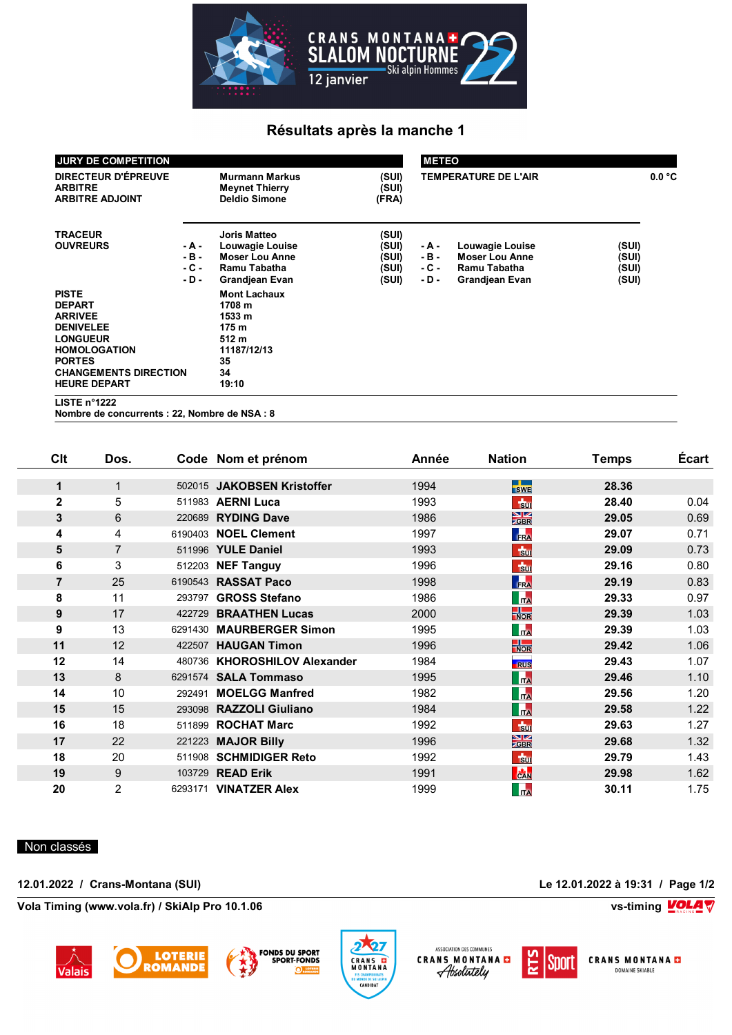

## **Résultats après la manche 1**

| JURY DE COMPETITION                                                                                                                                                                   |                                     |                                                                                                          |                                           |                                   | <b>METEO</b>                                                               |                                  |        |  |  |
|---------------------------------------------------------------------------------------------------------------------------------------------------------------------------------------|-------------------------------------|----------------------------------------------------------------------------------------------------------|-------------------------------------------|-----------------------------------|----------------------------------------------------------------------------|----------------------------------|--------|--|--|
| DIRECTEUR D'ÉPREUVE<br><b>ARBITRE</b><br><b>ARBITRE ADJOINT</b>                                                                                                                       |                                     | <b>Murmann Markus</b><br><b>Meynet Thierry</b><br><b>Deldio Simone</b>                                   | (SUI)<br>(SUI)<br>(FRA)                   | <b>TEMPERATURE DE L'AIR</b>       |                                                                            |                                  | 0.0 °C |  |  |
| <b>TRACEUR</b><br><b>OUVREURS</b>                                                                                                                                                     | - A -<br>$-B -$<br>$-C -$<br>$-D -$ | <b>Joris Matteo</b><br>Louwagie Louise<br><b>Moser Lou Anne</b><br>Ramu Tabatha<br>Grandjean Evan        | (SUI)<br>(SUI)<br>(SUI)<br>(SUI)<br>(SUI) | - A -<br>- B -<br>- C -<br>$-D -$ | Louwagie Louise<br><b>Moser Lou Anne</b><br>Ramu Tabatha<br>Grandjean Evan | (SUI)<br>(SUI)<br>(SUI)<br>(SUI) |        |  |  |
| <b>PISTE</b><br><b>DEPART</b><br><b>ARRIVEE</b><br><b>DENIVELEE</b><br><b>LONGUEUR</b><br><b>HOMOLOGATION</b><br><b>PORTES</b><br><b>CHANGEMENTS DIRECTION</b><br><b>HEURE DEPART</b> |                                     | <b>Mont Lachaux</b><br>1708 m<br>1533 m<br>175 <sub>m</sub><br>512 m<br>11187/12/13<br>35<br>34<br>19:10 |                                           |                                   |                                                                            |                                  |        |  |  |
| LISTE $n^{\circ}1222$                                                                                                                                                                 |                                     |                                                                                                          |                                           |                                   |                                                                            |                                  |        |  |  |

**Nombre de concurrents : 22, Nombre de NSA : 8**

| Clt            | Dos.           |         | Code Nom et prénom           | Année | <b>Nation</b>                 | Temps | <b>Écart</b> |
|----------------|----------------|---------|------------------------------|-------|-------------------------------|-------|--------------|
| $\mathbf 1$    | $\mathbf{1}$   | 502015  | <b>JAKOBSEN Kristoffer</b>   | 1994  | $\blacksquare$<br><b>SWE</b>  | 28.36 |              |
| $\mathbf{2}$   | 5              | 511983  | <b>AERNI Luca</b>            | 1993  | $\frac{1}{2}$                 | 28.40 | 0.04         |
| 3              | 6              | 220689  | <b>RYDING Dave</b>           | 1986  | $\frac{N}{GBR}$               | 29.05 | 0.69         |
| 4              | 4              |         | 6190403 NOEL Clement         | 1997  | FRA                           | 29.07 | 0.71         |
| 5              | $\overline{7}$ |         | 511996 YULE Daniel           | 1993  | $\frac{1}{300}$               | 29.09 | 0.73         |
| 6              | 3              | 512203  | <b>NEF Tanguy</b>            | 1996  | $\frac{1}{20}$                | 29.16 | 0.80         |
| $\overline{7}$ | 25             |         | 6190543 RASSAT Paco          | 1998  | FRA                           | 29.19 | 0.83         |
| 8              | 11             | 293797  | <b>GROSS Stefano</b>         | 1986  | <b>ITA</b>                    | 29.33 | 0.97         |
| 9              | 17             | 422729  | <b>BRAATHEN Lucas</b>        | 2000  | $\frac{1}{\sqrt{2}}$          | 29.39 | 1.03         |
| 9              | 13             | 6291430 | <b>MAURBERGER Simon</b>      | 1995  | <b>In</b>                     | 29.39 | 1.03         |
| 11             | 12             | 422507  | <b>HAUGAN Timon</b>          | 1996  | $\frac{1}{\sqrt{2}}$          | 29.42 | 1.06         |
| 12             | 14             | 480736  | <b>KHOROSHILOV Alexander</b> | 1984  | <b>RUS</b>                    | 29.43 | 1.07         |
| 13             | 8              |         | 6291574 SALA Tommaso         | 1995  | <b>Tra</b>                    | 29.46 | 1.10         |
| 14             | 10             | 292491  | <b>MOELGG Manfred</b>        | 1982  | <b>In</b>                     | 29.56 | 1.20         |
| 15             | 15             |         | 293098 RAZZOLI Giuliano      | 1984  | <b>Tra</b>                    | 29.58 | 1.22         |
| 16             | 18             | 511899  | <b>ROCHAT Marc</b>           | 1992  | $\frac{1}{30}$                | 29.63 | 1.27         |
| 17             | 22             | 221223  | <b>MAJOR Billy</b>           | 1996  | $\frac{\text{N}}{\text{ZBR}}$ | 29.68 | 1.32         |
| 18             | 20             | 511908  | <b>SCHMIDIGER Reto</b>       | 1992  | $\frac{1}{30}$                | 29.79 | 1.43         |
| 19             | 9              | 103729  | <b>READ Erik</b>             | 1991  | <b>CAN</b>                    | 29.98 | 1.62         |
| 20             | $\overline{2}$ | 6293171 | <b>VINATZER Alex</b>         | 1999  | <b>Tra</b>                    | 30.11 | 1.75         |

## Non classés

**12.01.2022 / Crans-Montana (SUI) Le 12.01.2022 à 19:31 / Page 1/2**

**Vola Timing (www.vola.fr) / SkiAlp Pro 10.1.06 vs-timing**









ASSOCIATION DES COMMUNES CRANS MONTANA



**CRANS MONTANA D** DOMAINE SKIABLE